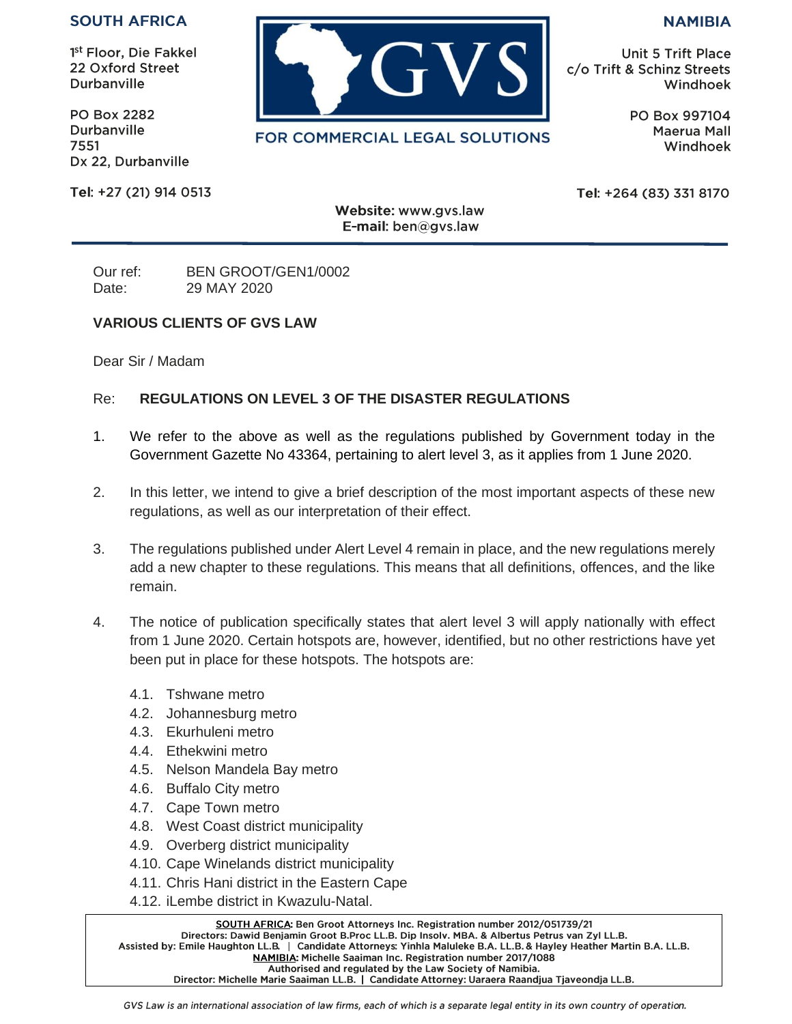## **SOUTH AFRICA**

1<sup>st</sup> Floor, Die Fakkel 22 Oxford Street Durbanville

**PO Box 2282** Durbanville 7551 Dx 22, Durbanville

Tel: +27 (21) 914 0513



FOR COMMERCIAL LEGAL SOLUTIONS

**NAMIBIA** 

**Unit 5 Trift Place** c/o Trift & Schinz Streets Windhoek

> PO Box 997104 Maerua Mall Windhoek

Tel: +264 (83) 331 8170

Website: www.gvs.law E-mail: ben@gvs.law

Our ref: BEN GROOT/GEN1/0002 Date: 29 MAY 2020

## **VARIOUS CLIENTS OF GVS LAW**

Dear Sir / Madam

## Re: **REGULATIONS ON LEVEL 3 OF THE DISASTER REGULATIONS**

- 1. We refer to the above as well as the regulations published by Government today in the Government Gazette No 43364, pertaining to alert level 3, as it applies from 1 June 2020.
- 2. In this letter, we intend to give a brief description of the most important aspects of these new regulations, as well as our interpretation of their effect.
- 3. The regulations published under Alert Level 4 remain in place, and the new regulations merely add a new chapter to these regulations. This means that all definitions, offences, and the like remain.
- 4. The notice of publication specifically states that alert level 3 will apply nationally with effect from 1 June 2020. Certain hotspots are, however, identified, but no other restrictions have yet been put in place for these hotspots. The hotspots are:
	- 4.1. Tshwane metro
	- 4.2. Johannesburg metro
	- 4.3. Ekurhuleni metro
	- 4.4. Ethekwini metro
	- 4.5. Nelson Mandela Bay metro
	- 4.6. Buffalo City metro
	- 4.7. Cape Town metro
	- 4.8. West Coast district municipality
	- 4.9. Overberg district municipality
	- 4.10. Cape Winelands district municipality
	- 4.11. Chris Hani district in the Eastern Cape
	- 4.12. iLembe district in Kwazulu-Natal.

SOUTH AFRICA: Ben Groot Attorneys Inc. Registration number 2012/051739/21 Directors: Dawid Benjamin Groot B.Proc LL.B. Dip Insolv. MBA. & Albertus Petrus van Zyl LL.B. Assisted by: Emile Haughton LL.B. | Candidate Attorneys: Yinhla Maluleke B.A. LL.B. & Hayley Heather Martin B.A. LL.B. NAMIBIA: Michelle Saaiman Inc. Registration number 2017/1088 Authorised and regulated by the Law Society of Namibia. Director: Michelle Marie Saaiman LL.B. | Candidate Attorney: Uaraera Raandjua Tjaveondja LL.B.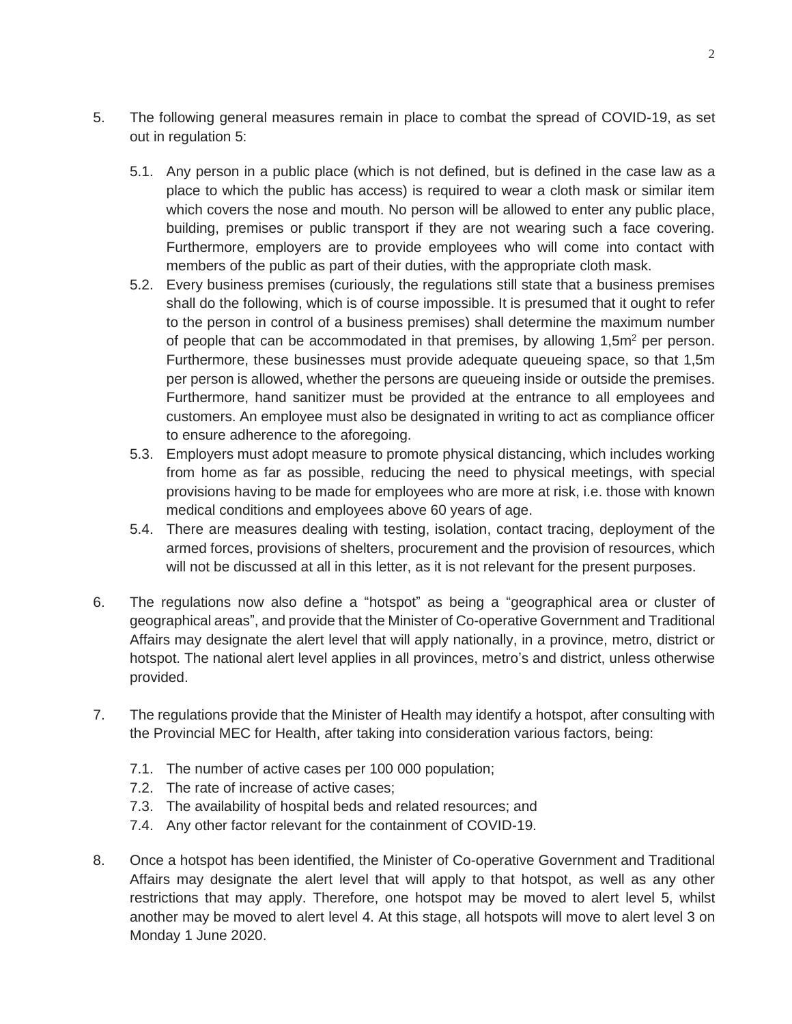- 5. The following general measures remain in place to combat the spread of COVID-19, as set out in regulation 5:
	- 5.1. Any person in a public place (which is not defined, but is defined in the case law as a place to which the public has access) is required to wear a cloth mask or similar item which covers the nose and mouth. No person will be allowed to enter any public place, building, premises or public transport if they are not wearing such a face covering. Furthermore, employers are to provide employees who will come into contact with members of the public as part of their duties, with the appropriate cloth mask.
	- 5.2. Every business premises (curiously, the regulations still state that a business premises shall do the following, which is of course impossible. It is presumed that it ought to refer to the person in control of a business premises) shall determine the maximum number of people that can be accommodated in that premises, by allowing  $1.5m<sup>2</sup>$  per person. Furthermore, these businesses must provide adequate queueing space, so that 1,5m per person is allowed, whether the persons are queueing inside or outside the premises. Furthermore, hand sanitizer must be provided at the entrance to all employees and customers. An employee must also be designated in writing to act as compliance officer to ensure adherence to the aforegoing.
	- 5.3. Employers must adopt measure to promote physical distancing, which includes working from home as far as possible, reducing the need to physical meetings, with special provisions having to be made for employees who are more at risk, i.e. those with known medical conditions and employees above 60 years of age.
	- 5.4. There are measures dealing with testing, isolation, contact tracing, deployment of the armed forces, provisions of shelters, procurement and the provision of resources, which will not be discussed at all in this letter, as it is not relevant for the present purposes.
- 6. The regulations now also define a "hotspot" as being a "geographical area or cluster of geographical areas", and provide that the Minister of Co-operative Government and Traditional Affairs may designate the alert level that will apply nationally, in a province, metro, district or hotspot. The national alert level applies in all provinces, metro's and district, unless otherwise provided.
- 7. The regulations provide that the Minister of Health may identify a hotspot, after consulting with the Provincial MEC for Health, after taking into consideration various factors, being:
	- 7.1. The number of active cases per 100 000 population;
	- 7.2. The rate of increase of active cases;
	- 7.3. The availability of hospital beds and related resources; and
	- 7.4. Any other factor relevant for the containment of COVID-19.
- 8. Once a hotspot has been identified, the Minister of Co-operative Government and Traditional Affairs may designate the alert level that will apply to that hotspot, as well as any other restrictions that may apply. Therefore, one hotspot may be moved to alert level 5, whilst another may be moved to alert level 4. At this stage, all hotspots will move to alert level 3 on Monday 1 June 2020.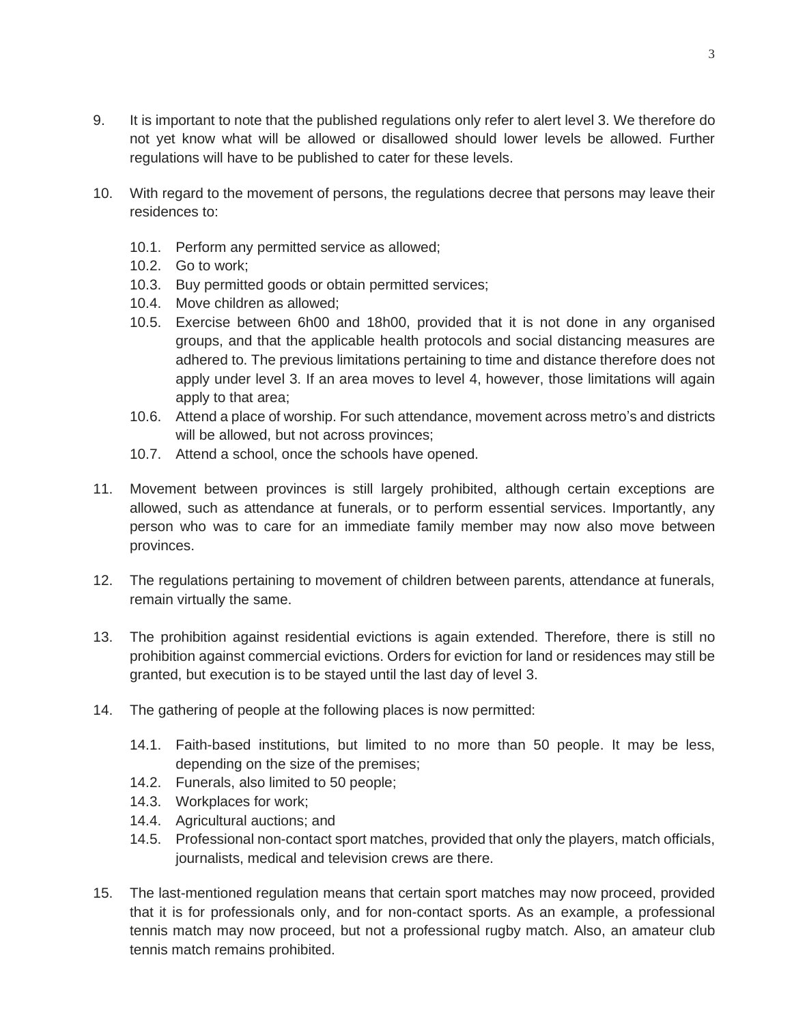- 9. It is important to note that the published regulations only refer to alert level 3. We therefore do not yet know what will be allowed or disallowed should lower levels be allowed. Further regulations will have to be published to cater for these levels.
- 10. With regard to the movement of persons, the regulations decree that persons may leave their residences to:
	- 10.1. Perform any permitted service as allowed;
	- 10.2. Go to work;
	- 10.3. Buy permitted goods or obtain permitted services;
	- 10.4. Move children as allowed;
	- 10.5. Exercise between 6h00 and 18h00, provided that it is not done in any organised groups, and that the applicable health protocols and social distancing measures are adhered to. The previous limitations pertaining to time and distance therefore does not apply under level 3. If an area moves to level 4, however, those limitations will again apply to that area;
	- 10.6. Attend a place of worship. For such attendance, movement across metro's and districts will be allowed, but not across provinces;
	- 10.7. Attend a school, once the schools have opened.
- 11. Movement between provinces is still largely prohibited, although certain exceptions are allowed, such as attendance at funerals, or to perform essential services. Importantly, any person who was to care for an immediate family member may now also move between provinces.
- 12. The regulations pertaining to movement of children between parents, attendance at funerals, remain virtually the same.
- 13. The prohibition against residential evictions is again extended. Therefore, there is still no prohibition against commercial evictions. Orders for eviction for land or residences may still be granted, but execution is to be stayed until the last day of level 3.
- 14. The gathering of people at the following places is now permitted:
	- 14.1. Faith-based institutions, but limited to no more than 50 people. It may be less, depending on the size of the premises;
	- 14.2. Funerals, also limited to 50 people;
	- 14.3. Workplaces for work;
	- 14.4. Agricultural auctions; and
	- 14.5. Professional non-contact sport matches, provided that only the players, match officials, journalists, medical and television crews are there.
- 15. The last-mentioned regulation means that certain sport matches may now proceed, provided that it is for professionals only, and for non-contact sports. As an example, a professional tennis match may now proceed, but not a professional rugby match. Also, an amateur club tennis match remains prohibited.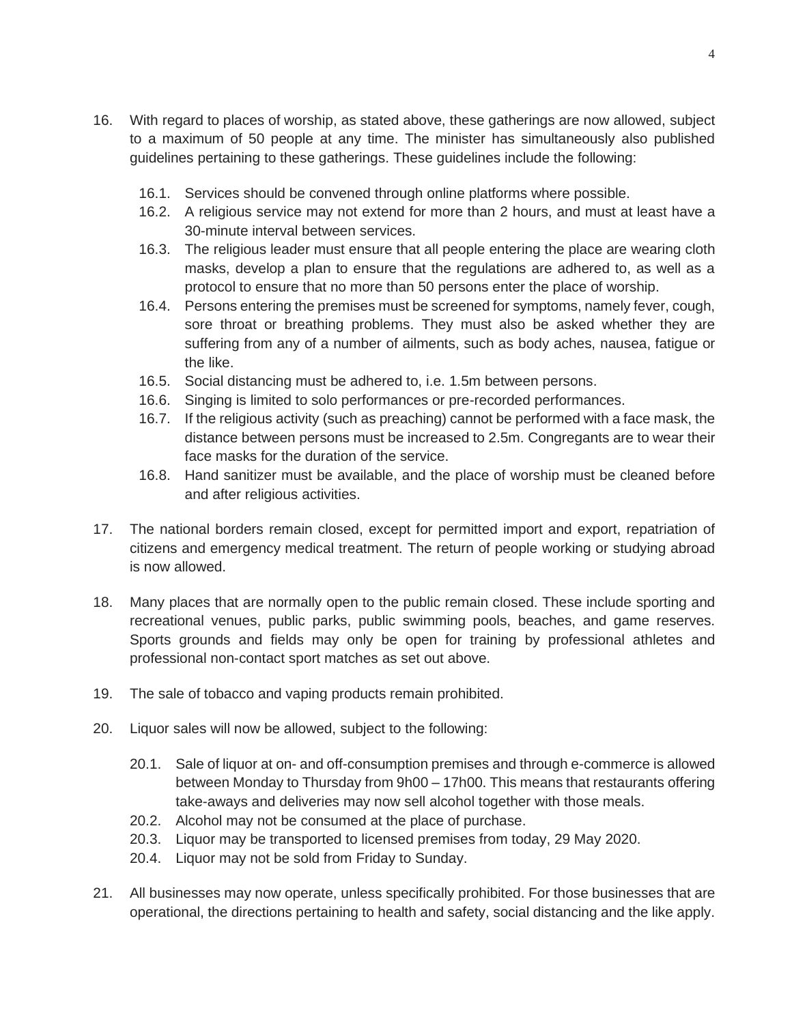- 16. With regard to places of worship, as stated above, these gatherings are now allowed, subject to a maximum of 50 people at any time. The minister has simultaneously also published guidelines pertaining to these gatherings. These guidelines include the following:
	- 16.1. Services should be convened through online platforms where possible.
	- 16.2. A religious service may not extend for more than 2 hours, and must at least have a 30-minute interval between services.
	- 16.3. The religious leader must ensure that all people entering the place are wearing cloth masks, develop a plan to ensure that the regulations are adhered to, as well as a protocol to ensure that no more than 50 persons enter the place of worship.
	- 16.4. Persons entering the premises must be screened for symptoms, namely fever, cough, sore throat or breathing problems. They must also be asked whether they are suffering from any of a number of ailments, such as body aches, nausea, fatigue or the like.
	- 16.5. Social distancing must be adhered to, i.e. 1.5m between persons.
	- 16.6. Singing is limited to solo performances or pre-recorded performances.
	- 16.7. If the religious activity (such as preaching) cannot be performed with a face mask, the distance between persons must be increased to 2.5m. Congregants are to wear their face masks for the duration of the service.
	- 16.8. Hand sanitizer must be available, and the place of worship must be cleaned before and after religious activities.
- 17. The national borders remain closed, except for permitted import and export, repatriation of citizens and emergency medical treatment. The return of people working or studying abroad is now allowed.
- 18. Many places that are normally open to the public remain closed. These include sporting and recreational venues, public parks, public swimming pools, beaches, and game reserves. Sports grounds and fields may only be open for training by professional athletes and professional non-contact sport matches as set out above.
- 19. The sale of tobacco and vaping products remain prohibited.
- 20. Liquor sales will now be allowed, subject to the following:
	- 20.1. Sale of liquor at on- and off-consumption premises and through e-commerce is allowed between Monday to Thursday from 9h00 – 17h00. This means that restaurants offering take-aways and deliveries may now sell alcohol together with those meals.
	- 20.2. Alcohol may not be consumed at the place of purchase.
	- 20.3. Liquor may be transported to licensed premises from today, 29 May 2020.
	- 20.4. Liquor may not be sold from Friday to Sunday.
- 21. All businesses may now operate, unless specifically prohibited. For those businesses that are operational, the directions pertaining to health and safety, social distancing and the like apply.